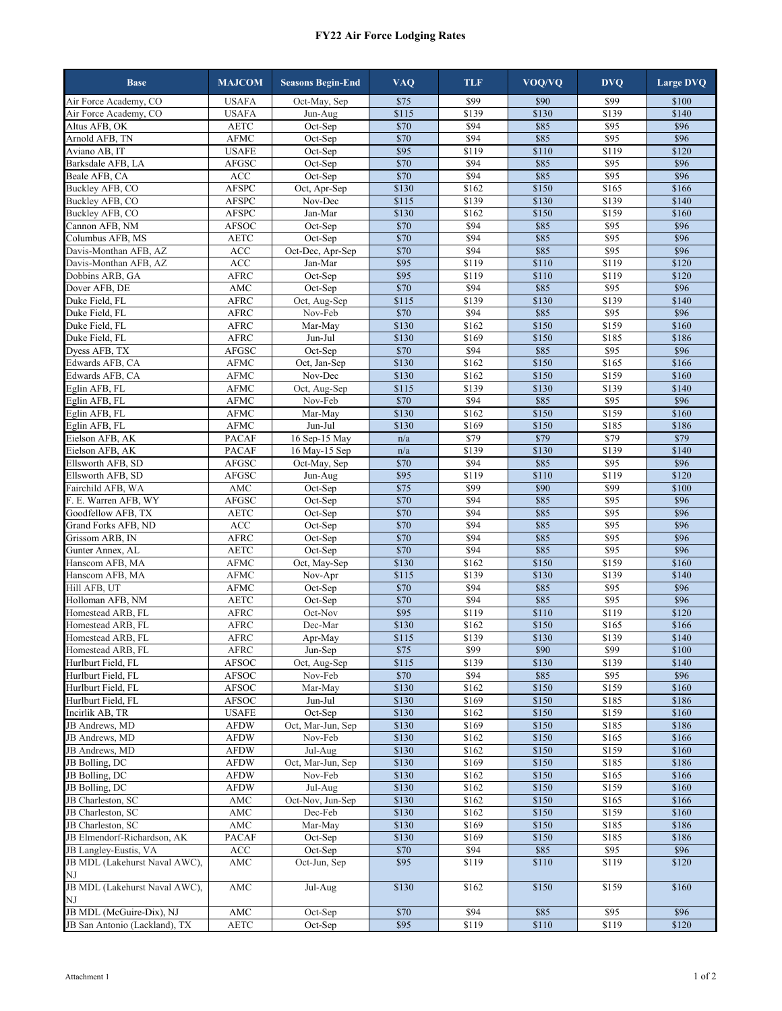## **FY22 Air Force Lodging Rates**

| <b>Base</b>                            | <b>MAJCOM</b>               | <b>Seasons Begin-End</b> | <b>VAQ</b>               | <b>TLF</b>                           | VOQ/VQ           | <b>DVQ</b>                           | <b>Large DVQ</b> |
|----------------------------------------|-----------------------------|--------------------------|--------------------------|--------------------------------------|------------------|--------------------------------------|------------------|
| Air Force Academy, CO                  | <b>USAFA</b>                | Oct-May, Sep             | \$75                     | \$99                                 | \$90             | \$99                                 | \$100            |
| Air Force Academy, CO                  | <b>USAFA</b>                | Jun-Aug                  | \$115                    | \$139                                | \$130            | \$139                                | \$140            |
| Altus AFB, OK                          | <b>AETC</b>                 | Oct-Sep                  | \$70                     | \$94                                 | \$85             | \$95                                 | \$96             |
| Arnold AFB, TN                         | AFMC                        | Oct-Sep                  | \$70                     | \$94                                 | \$85             | \$95                                 | \$96             |
| Aviano AB, IT                          | <b>USAFE</b>                | Oct-Sep                  | \$95                     | \$119                                | \$110            | \$119                                | \$120            |
| Barksdale AFB, LA                      | AFGSC                       | Oct-Sep                  | \$70                     | \$94                                 | \$85             | \$95                                 | \$96             |
| Beale AFB, CA                          | ACC                         | Oct-Sep                  | \$70                     | \$94                                 | \$85             | \$95                                 | \$96             |
| Buckley AFB, CO                        | <b>AFSPC</b>                | Oct, Apr-Sep             | \$130                    | \$162                                | \$150            | \$165                                | \$166            |
| Buckley AFB, CO                        | <b>AFSPC</b>                | Nov-Dec                  | \$115                    | \$139                                | \$130            | \$139                                | \$140            |
| Buckley AFB, CO                        | AFSPC                       | Jan-Mar                  | \$130                    | \$162                                | \$150            | \$159                                | \$160            |
| Cannon AFB, NM                         | <b>AFSOC</b>                | Oct-Sep                  | \$70                     | \$94                                 | \$85             | \$95                                 | \$96             |
| Columbus AFB, MS                       | AETC                        | Oct-Sep                  | \$70                     | \$94                                 | \$85             | \$95                                 | \$96             |
| Davis-Monthan AFB, AZ                  | ACC                         | Oct-Dec, Apr-Sep         | \$70                     | \$94                                 | \$85             | \$95                                 | \$96             |
| Davis-Monthan AFB, AZ                  | ACC                         | Jan-Mar                  | \$95                     | \$119                                | \$110            | \$119                                | \$120            |
| Dobbins ARB, GA                        | <b>AFRC</b>                 | Oct-Sep                  | $\overline{$95}$         | \$119                                | \$110            | \$119                                | \$120            |
| Dover AFB, DE                          | $\operatorname{AMC}$        | Oct-Sep                  | \$70                     | $\overline{$94}$                     | \$85             | $\overline{\$95}$                    | \$96             |
| Duke Field, FL                         | <b>AFRC</b>                 | Oct, Aug-Sep             | \$115                    | \$139                                | \$130            | \$139                                | \$140            |
| Duke Field, FL                         | <b>AFRC</b>                 | Nov-Feb                  | \$70                     | \$94                                 | \$85             | \$95                                 | \$96             |
| Duke Field, FL                         | AFRC                        | Mar-May                  | \$130                    | \$162                                | \$150            | \$159                                | \$160            |
| Duke Field, FL                         | <b>AFRC</b>                 | Jun-Jul                  | \$130                    | \$169                                | \$150            | \$185                                | \$186            |
| Dyess AFB, TX                          | <b>AFGSC</b>                | Oct-Sep                  | \$70                     | \$94                                 | \$85             | \$95                                 | \$96             |
| Edwards AFB, CA                        | <b>AFMC</b>                 | Oct, Jan-Sep             | \$130                    | \$162                                | \$150            | \$165                                | \$166            |
| Edwards AFB, CA                        | <b>AFMC</b>                 | Nov-Dec                  | \$130                    | \$162                                | \$150            | \$159                                | \$160            |
| Eglin AFB, FL                          | AFMC                        | Oct, Aug-Sep             | \$115                    | \$139                                | \$130            | \$139                                | \$140            |
| Eglin AFB, FL                          | <b>AFMC</b>                 | Nov-Feb                  | \$70                     | \$94                                 | \$85             | \$95                                 | \$96             |
| Eglin AFB, FL                          | AFMC                        | Mar-May                  | \$130                    | \$162                                | \$150            | \$159                                | \$160            |
| Eglin AFB, FL                          | <b>AFMC</b>                 | Jun-Jul                  | \$130                    | \$169                                | \$150            | \$185                                | \$186            |
| Eielson AFB, AK                        | <b>PACAF</b>                | 16 Sep-15 May            | n/a                      | $\overline{$79}$                     | $\overline{$}79$ | $\overline{$}79$                     | $\overline{$}79$ |
| Eielson AFB, AK                        | PACAF                       | 16 May-15 Sep            | n/a                      | \$139                                | \$130            | \$139                                | \$140            |
| Ellsworth AFB, SD                      | <b>AFGSC</b>                | Oct-May, Sep             | \$70                     | \$94                                 | \$85             | \$95                                 | \$96             |
| Ellsworth AFB, SD                      | AFGSC                       | Jun-Aug                  | \$95                     | \$119                                | \$110            | \$119                                | \$120            |
| Fairchild AFB, WA                      | $\operatorname{AMC}$        | Oct-Sep                  | \$75                     | \$99                                 | \$90             | \$99                                 | \$100            |
| F. E. Warren AFB, WY                   | AFGSC                       | Oct-Sep                  | \$70                     | \$94                                 | \$85             | \$95                                 | \$96             |
| Goodfellow AFB, TX                     | <b>AETC</b>                 | Oct-Sep                  | \$70                     | \$94                                 | \$85             | \$95                                 | \$96             |
| Grand Forks AFB, ND                    | ACC                         | Oct-Sep                  | \$70                     | \$94                                 | \$85             | \$95                                 | \$96             |
| Grissom ARB, IN                        | AFRC                        | Oct-Sep                  | \$70                     | \$94                                 | \$85             | \$95                                 | \$96             |
| Gunter Annex, AL                       | <b>AETC</b>                 | Oct-Sep                  | \$70                     | \$94                                 | \$85             | \$95                                 | \$96             |
| Hanscom AFB, MA                        | <b>AFMC</b>                 | Oct, May-Sep             | \$130                    | \$162                                | \$150            | \$159                                | \$160            |
| Hanscom AFB, MA                        | AFMC                        | Nov-Apr                  | \$115                    | \$139                                | \$130            | \$139                                | \$140            |
| Hill AFB, UT                           | AFMC                        | Oct-Sep                  | \$70<br>$\overline{$}70$ | $\overline{$94}$<br>$\overline{$94}$ | \$85<br>\$85     | $\overline{$95}$<br>$\overline{$95}$ | \$96<br>\$96     |
| Holloman AFB, NM                       | <b>AETC</b>                 | Oct-Sep                  | $\overline{$95}$         |                                      | \$110            |                                      |                  |
| Homestead ARB, FL                      | <b>AFRC</b>                 | Oct-Nov                  |                          | \$119                                |                  | \$119                                | \$120            |
| Homestead ARB, FL<br>Homestead ARB, FL | <b>AFRC</b><br>${\rm AFRC}$ | Dec-Mar<br>Apr-May       | \$130<br>\$115           | \$162<br>\$139                       | \$150<br>\$130   | \$165<br>\$139                       | \$166<br>\$140   |
| Homestead ARB, FL                      |                             | Jun-Sep                  | \$75                     | \$99                                 | \$90             | \$99                                 | \$100            |
| Hurlburt Field, FL                     | AFRC<br><b>AFSOC</b>        | Oct, Aug-Sep             | \$115                    | \$139                                | \$130            | \$139                                | \$140            |
| Hurlburt Field, FL                     | AFSOC                       | Nov-Feb                  | \$70                     | \$94                                 | \$85             | \$95                                 | \$96             |
| Hurlburt Field, FL                     | AFSOC                       | Mar-May                  | \$130                    | \$162                                | \$150            | \$159                                | \$160            |
| Hurlburt Field, FL                     | AFSOC                       | Jun-Jul                  | \$130                    | \$169                                | \$150            | \$185                                | \$186            |
| Incirlik AB, TR                        | <b>USAFE</b>                | Oct-Sep                  | \$130                    | \$162                                | \$150            | \$159                                | \$160            |
| JB Andrews, MD                         | <b>AFDW</b>                 | Oct, Mar-Jun, Sep        | \$130                    | \$169                                | \$150            | \$185                                | \$186            |
| JB Andrews, MD                         | <b>AFDW</b>                 | Nov-Feb                  | \$130                    | \$162                                | \$150            | \$165                                | \$166            |
| JB Andrews, MD                         | <b>AFDW</b>                 | Jul-Aug                  | \$130                    | \$162                                | \$150            | \$159                                | \$160            |
| JB Bolling, DC                         | <b>AFDW</b>                 | Oct, Mar-Jun, Sep        | \$130                    | \$169                                | \$150            | \$185                                | \$186            |
| JB Bolling, DC                         | AFDW                        | Nov-Feb                  | \$130                    | \$162                                | \$150            | \$165                                | \$166            |
| JB Bolling, DC                         | AFDW                        | Jul-Aug                  | \$130                    | \$162                                | \$150            | \$159                                | \$160            |
| JB Charleston, SC                      | AMC                         | Oct-Nov, Jun-Sep         | \$130                    | \$162                                | \$150            | \$165                                | \$166            |
| JB Charleston, SC                      | AMC                         | Dec-Feb                  | \$130                    | \$162                                | \$150            | \$159                                | \$160            |
| JB Charleston, SC                      | AMC                         | Mar-May                  | \$130                    | \$169                                | \$150            | \$185                                | \$186            |
| JB Elmendorf-Richardson, AK            | PACAF                       | Oct-Sep                  | \$130                    | \$169                                | \$150            | \$185                                | \$186            |
| JB Langley-Eustis, VA                  | ACC                         | Oct-Sep                  | \$70                     | \$94                                 | \$85             | \$95                                 | \$96             |
| JB MDL (Lakehurst Naval AWC),          | AMC                         | Oct-Jun, Sep             | \$95                     | \$119                                | \$110            | \$119                                | \$120            |
| NJ                                     |                             |                          |                          |                                      |                  |                                      |                  |
| JB MDL (Lakehurst Naval AWC),          | AMC                         | Jul-Aug                  | \$130                    | \$162                                | \$150            | \$159                                | \$160            |
| ΝJ                                     |                             |                          |                          |                                      |                  |                                      |                  |
| JB MDL (McGuire-Dix), NJ               | AMC                         | Oct-Sep                  | \$70                     | \$94                                 | \$85             | \$95                                 | \$96             |
| JB San Antonio (Lackland), TX          | $\operatorname{AETC}$       | Oct-Sep                  | \$95                     | \$119                                | \$110            | \$119                                | \$120            |